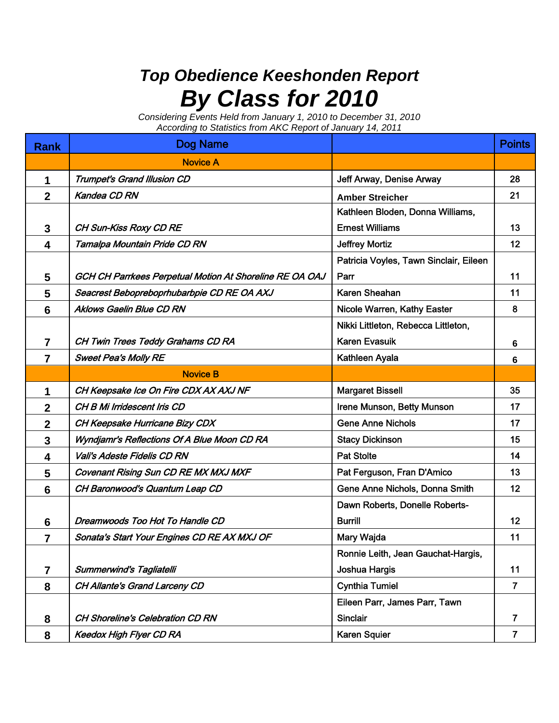## *Top Obedience Keeshonden Report By Class for 2010*

*Considering Events Held from January 1, 2010 to December 31, 2010 According to Statistics from AKC Report of January 14, 2011*

| <b>Rank</b>     | Dog Name                                                |                                        | <b>Points</b>  |
|-----------------|---------------------------------------------------------|----------------------------------------|----------------|
|                 | <b>Novice A</b>                                         |                                        |                |
| 1               | Trumpet's Grand Illusion CD                             | Jeff Arway, Denise Arway               | 28             |
| $\overline{2}$  | Kandea CD RN                                            | <b>Amber Streicher</b>                 | 21             |
|                 |                                                         | Kathleen Bloden, Donna Williams,       |                |
| 3               | <b>CH Sun-Kiss Roxy CD RE</b>                           | <b>Ernest Williams</b>                 | 13             |
| 4               | Tamalpa Mountain Pride CD RN                            | <b>Jeffrey Mortiz</b>                  | 12             |
|                 |                                                         | Patricia Voyles, Tawn Sinclair, Eileen |                |
| 5               | GCH CH Parrkees Perpetual Motion At Shoreline RE OA OAJ | Parr                                   | 11             |
| 5               | Seacrest Bebopreboprhubarbpie CD RE OA AXJ              | Karen Sheahan                          | 11             |
| $6\phantom{1}6$ | <b>Aklows Gaelin Blue CD RN</b>                         | Nicole Warren, Kathy Easter            | 8              |
|                 |                                                         | Nikki Littleton, Rebecca Littleton,    |                |
| 7               | CH Twin Trees Teddy Grahams CD RA                       | <b>Karen Evasuik</b>                   | 6              |
| 7               | <b>Sweet Pea's Molly RE</b>                             | Kathleen Ayala                         | 6              |
|                 | <b>Novice B</b>                                         |                                        |                |
| 1               | CH Keepsake Ice On Fire CDX AX AXJ NF                   | <b>Margaret Bissell</b>                | 35             |
| $\mathbf 2$     | CH B Mi Irridescent Iris CD                             | Irene Munson, Betty Munson             | 17             |
| $\mathbf 2$     | CH Keepsake Hurricane Bizy CDX                          | <b>Gene Anne Nichols</b>               | 17             |
| 3               | Wyndjamr's Reflections Of A Blue Moon CD RA             | <b>Stacy Dickinson</b>                 | 15             |
| 4               | Vali's Adeste Fidelis CD RN                             | <b>Pat Stolte</b>                      | 14             |
| 5               | Covenant Rising Sun CD RE MX MXJ MXF                    | Pat Ferguson, Fran D'Amico             | 13             |
| 6               | CH Baronwood's Quantum Leap CD                          | Gene Anne Nichols, Donna Smith         | 12             |
|                 |                                                         | Dawn Roberts, Donelle Roberts-         |                |
| 6               | Dreamwoods Too Hot To Handle CD                         | <b>Burrill</b>                         | 12             |
| $\overline{7}$  | Sonata's Start Your Engines CD RE AX MXJ OF             | Mary Wajda                             | 11             |
|                 |                                                         | Ronnie Leith, Jean Gauchat-Hargis,     |                |
| $\overline{7}$  | <b>Summerwind's Tagliatelli</b>                         | Joshua Hargis                          | 11             |
| 8               | CH Allante's Grand Larceny CD                           | <b>Cynthia Tumiel</b>                  | $\overline{7}$ |
|                 |                                                         | Eileen Parr, James Parr, Tawn          |                |
| 8               | <b>CH Shoreline's Celebration CD RN</b>                 | Sinclair                               | $\overline{7}$ |
| 8               | <b>Keedox High Flyer CD RA</b>                          | <b>Karen Squier</b>                    | $\overline{7}$ |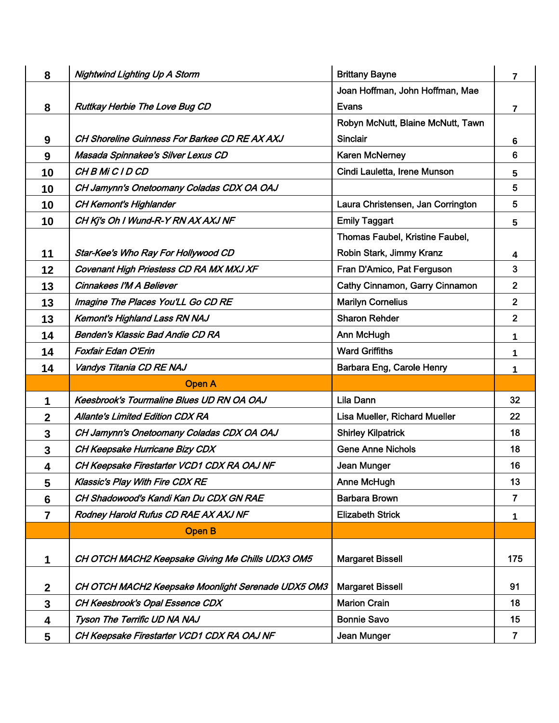| 8                | <b>Nightwind Lighting Up A Storm</b>               | <b>Brittany Bayne</b>                  | 7               |
|------------------|----------------------------------------------------|----------------------------------------|-----------------|
|                  |                                                    | Joan Hoffman, John Hoffman, Mae        |                 |
| 8                | <b>Ruttkay Herbie The Love Bug CD</b>              | Evans                                  | 7               |
|                  |                                                    | Robyn McNutt, Blaine McNutt, Tawn      |                 |
| $\boldsymbol{9}$ | CH Shoreline Guinness For Barkee CD RE AX AXJ      | <b>Sinclair</b>                        | 6               |
| 9                | Masada Spinnakee's Silver Lexus CD                 | <b>Karen McNerney</b>                  | 6               |
| 10               | CH B Mi C I D CD                                   | Cindi Lauletta, Irene Munson           | 5               |
| 10               | CH Jamynn's Onetoomany Coladas CDX OA OAJ          |                                        | 5               |
| 10               | <b>CH Kemont's Highlander</b>                      | Laura Christensen, Jan Corrington      | 5               |
| 10               | CH Kj's Oh I Wund-R-Y RN AX AXJ NF                 | <b>Emily Taggart</b>                   | $5\phantom{.0}$ |
|                  |                                                    | <b>Thomas Faubel, Kristine Faubel,</b> |                 |
| 11               | Star-Kee's Who Ray For Hollywood CD                | Robin Stark, Jimmy Kranz               | 4               |
| 12               | Covenant High Priestess CD RA MX MXJ XF            | Fran D'Amico, Pat Ferguson             | $\overline{3}$  |
| 13               | Cinnakees I'M A Believer                           | Cathy Cinnamon, Garry Cinnamon         | $\overline{2}$  |
| 13               | Imagine The Places You'LL Go CD RE                 | <b>Marilyn Cornelius</b>               | $\overline{2}$  |
| 13               | <b>Kemont's Highland Lass RN NAJ</b>               | <b>Sharon Rehder</b>                   | $\overline{2}$  |
| 14               | Benden's Klassic Bad Andie CD RA                   | Ann McHugh                             | 1               |
| 14               | <b>Foxfair Edan O'Erin</b>                         | <b>Ward Griffiths</b>                  | 1               |
| 14               | Vandys Titania CD RE NAJ                           | Barbara Eng, Carole Henry              | 1               |
|                  | <b>Open A</b>                                      |                                        |                 |
| 1                | <b>Keesbrook's Tourmaline Blues UD RN OA OAJ</b>   | Lila Dann                              | 32              |
| $\mathbf 2$      | <b>Allante's Limited Edition CDX RA</b>            | Lisa Mueller, Richard Mueller          | 22              |
| 3                | CH Jamynn's Onetoomany Coladas CDX OA OAJ          | <b>Shirley Kilpatrick</b>              | 18              |
| 3                | CH Keepsake Hurricane Bizy CDX                     | <b>Gene Anne Nichols</b>               | 18              |
| 4                | CH Keepsake Firestarter VCD1 CDX RA OAJ NF         | Jean Munger                            | 16              |
| 5                | <b>Klassic's Play With Fire CDX RE</b>             | Anne McHugh                            | 13              |
| 6                | CH Shadowood's Kandi Kan Du CDX GN RAE             | <b>Barbara Brown</b>                   | $\overline{7}$  |
| $\overline{7}$   | Rodney Harold Rufus CD RAE AX AXJ NF               | <b>Elizabeth Strick</b>                | 1               |
|                  | <b>Open B</b>                                      |                                        |                 |
| 1                | CH OTCH MACH2 Keepsake Giving Me Chills UDX3 OM5   | <b>Margaret Bissell</b>                | 175             |
| $\boldsymbol{2}$ | CH OTCH MACH2 Keepsake Moonlight Serenade UDX5 OM3 | <b>Margaret Bissell</b>                | 91              |
| 3                | CH Keesbrook's Opal Essence CDX                    | <b>Marion Crain</b>                    | 18              |
| 4                | Tyson The Terrific UD NA NAJ                       | <b>Bonnie Savo</b>                     | 15              |
| 5                | CH Keepsake Firestarter VCD1 CDX RA OAJ NF         | Jean Munger                            | $\overline{7}$  |